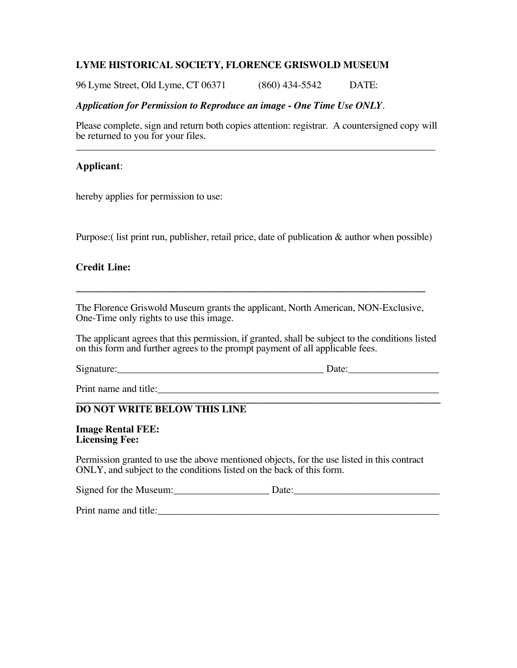# **LYME HISTORICAL SOCIETY, FLORENCE GRISWOLD MUSEUM**

96 Lyme Street, Old Lyme, CT 06371 (860) 434-5542 DATE:

# *Application for Permission to Reproduce an image - One Time Use ONLY.*

Please complete, sign and return both copies attention: registrar. A countersigned copy will be returned to you for your files. \_\_\_\_\_\_\_\_\_\_\_\_\_\_\_\_\_\_\_\_\_\_\_\_\_\_\_\_\_\_\_\_\_\_\_\_\_\_\_\_\_\_\_\_\_\_\_\_\_\_\_\_\_\_\_\_\_\_\_\_\_\_\_\_\_\_\_\_\_\_\_

## **Applicant**:

hereby applies for permission to use:

Purpose: (I ist print run, publisher, retail price, date of publication & author when possible)

### **Credit Line:**

The Florence Griswold Museum grants the applicant, North American, NON-Exclusive, One-Time only rights to use this image.

**\_\_\_\_\_\_\_\_\_\_\_\_\_\_\_\_\_\_\_\_\_\_\_\_\_\_\_\_\_\_\_\_\_\_\_\_\_\_\_\_\_\_\_\_\_\_\_\_\_\_\_\_\_\_\_\_\_\_\_\_\_\_\_\_\_\_\_\_\_**

The applicant agrees that this permission, if granted, shall be subject to the conditions listed on this form and further agrees to the prompt payment of all applicable fees.

 $Signature: \_\_\_\_\_\_$ 

Print name and title:

#### **\_\_\_\_\_\_\_\_\_\_\_\_\_\_\_\_\_\_\_\_\_\_\_\_\_\_\_\_\_\_\_\_\_\_\_\_\_\_\_\_\_\_\_\_\_\_\_\_\_\_\_\_\_\_\_\_\_\_\_\_\_\_\_\_\_\_\_\_\_\_\_\_ DO NOT WRITE BELOW THIS LINE**

**Image Rental FEE: Licensing Fee:** 

Permission granted to use the above mentioned objects, for the use listed in this contract ONLY, and subject to the conditions listed on the back of this form.

Signed for the Museum:\_\_\_\_\_\_\_\_\_\_\_\_\_\_\_\_\_\_\_ Date:\_\_\_\_\_\_\_\_\_\_\_\_\_\_\_\_\_\_\_\_\_\_\_\_\_\_\_\_\_

Print name and title:\_\_\_\_\_\_\_\_\_\_\_\_\_\_\_\_\_\_\_\_\_\_\_\_\_\_\_\_\_\_\_\_\_\_\_\_\_\_\_\_\_\_\_\_\_\_\_\_\_\_\_\_\_\_\_\_